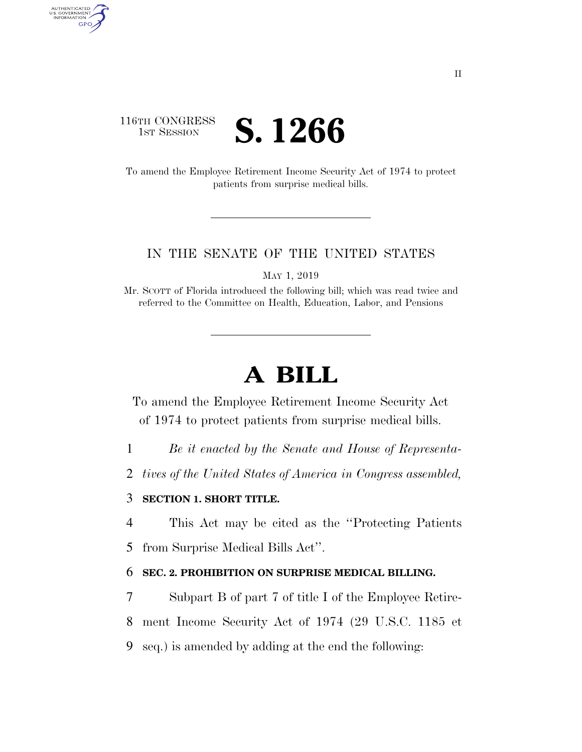# 116TH CONGRESS **IST SESSION S. 1266**

AUTHENTICATED<br>U.S. GOVERNMENT<br>INFORMATION GPO

> To amend the Employee Retirement Income Security Act of 1974 to protect patients from surprise medical bills.

### IN THE SENATE OF THE UNITED STATES

MAY 1, 2019

Mr. SCOTT of Florida introduced the following bill; which was read twice and referred to the Committee on Health, Education, Labor, and Pensions

# **A BILL**

To amend the Employee Retirement Income Security Act of 1974 to protect patients from surprise medical bills.

- 1 *Be it enacted by the Senate and House of Representa-*
- 2 *tives of the United States of America in Congress assembled,*

## 3 **SECTION 1. SHORT TITLE.**

4 This Act may be cited as the ''Protecting Patients

5 from Surprise Medical Bills Act''.

### 6 **SEC. 2. PROHIBITION ON SURPRISE MEDICAL BILLING.**

7 Subpart B of part 7 of title I of the Employee Retire-8 ment Income Security Act of 1974 (29 U.S.C. 1185 et 9 seq.) is amended by adding at the end the following: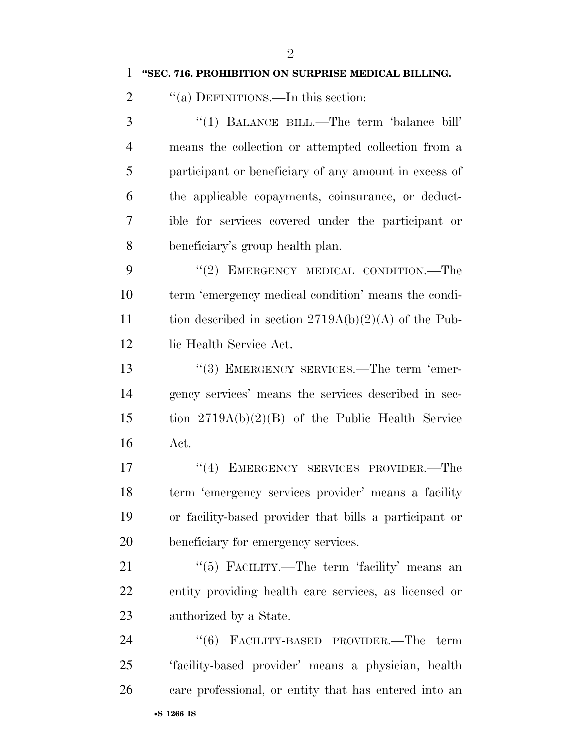|  | "SEC. 716. PROHIBITION ON SURPRISE MEDICAL BILLING. |  |  |
|--|-----------------------------------------------------|--|--|
|  |                                                     |  |  |

2 "(a) DEFINITIONS.—In this section:

 ''(1) BALANCE BILL.—The term 'balance bill' means the collection or attempted collection from a participant or beneficiary of any amount in excess of the applicable copayments, coinsurance, or deduct- ible for services covered under the participant or beneficiary's group health plan.

9 "(2) EMERGENCY MEDICAL CONDITION.—The term 'emergency medical condition' means the condi-11 tion described in section  $2719A(b)(2)(A)$  of the Pub-12 lic Health Service Act.

13 "(3) EMERGENCY SERVICES.—The term 'emer- gency services' means the services described in sec- tion 2719A(b)(2)(B) of the Public Health Service Act.

17 "(4) EMERGENCY SERVICES PROVIDER.—The term 'emergency services provider' means a facility or facility-based provider that bills a participant or beneficiary for emergency services.

21 ''(5) FACILITY.—The term 'facility' means an entity providing health care services, as licensed or authorized by a State.

24 "(6) FACILITY-BASED PROVIDER.—The term 'facility-based provider' means a physician, health care professional, or entity that has entered into an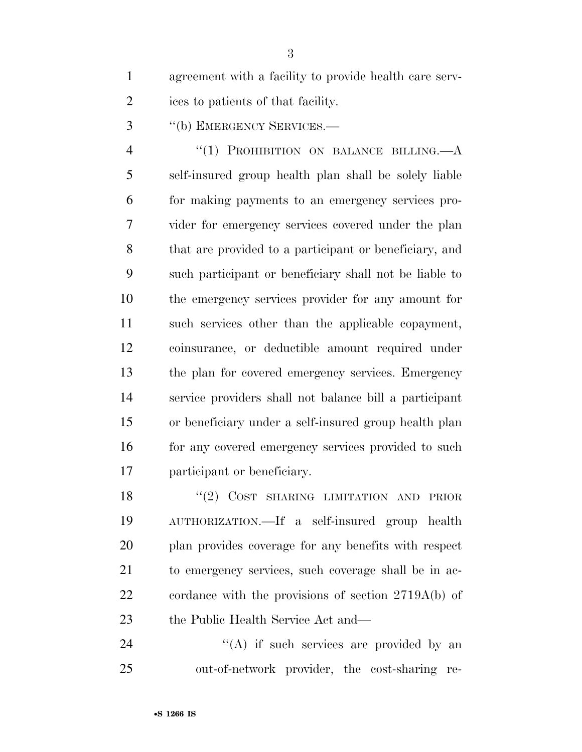agreement with a facility to provide health care serv-ices to patients of that facility.

''(b) EMERGENCY SERVICES.—

4 "(1) PROHIBITION ON BALANCE BILLING.—A self-insured group health plan shall be solely liable for making payments to an emergency services pro- vider for emergency services covered under the plan that are provided to a participant or beneficiary, and such participant or beneficiary shall not be liable to the emergency services provider for any amount for such services other than the applicable copayment, coinsurance, or deductible amount required under the plan for covered emergency services. Emergency service providers shall not balance bill a participant or beneficiary under a self-insured group health plan 16 for any covered emergency services provided to such participant or beneficiary.

18 "(2) COST SHARING LIMITATION AND PRIOR AUTHORIZATION.—If a self-insured group health plan provides coverage for any benefits with respect to emergency services, such coverage shall be in ac- cordance with the provisions of section 2719A(b) of 23 the Public Health Service Act and—

 ''(A) if such services are provided by an out-of-network provider, the cost-sharing re-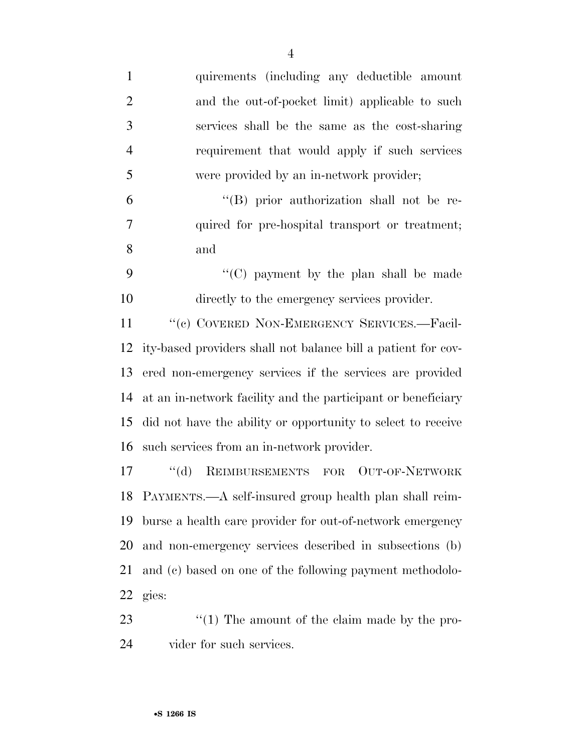| $\mathbf{1}$   | quirements (including any deductible amount                   |
|----------------|---------------------------------------------------------------|
| $\mathbf{2}$   | and the out-of-pocket limit) applicable to such               |
| 3              | services shall be the same as the cost-sharing                |
| $\overline{4}$ | requirement that would apply if such services                 |
| 5              | were provided by an in-network provider;                      |
| 6              | "(B) prior authorization shall not be re-                     |
| $\tau$         | quired for pre-hospital transport or treatment;               |
| 8              | and                                                           |
| 9              | "(C) payment by the plan shall be made                        |
| 10             | directly to the emergency services provider.                  |
| 11             | "(c) COVERED NON-EMERGENCY SERVICES.-Facil-                   |
| 12             | ity-based providers shall not balance bill a patient for cov- |
| 13             | ered non-emergency services if the services are provided      |
| 14             | at an in-network facility and the participant or beneficiary  |
| 15             | did not have the ability or opportunity to select to receive  |
| 16             | such services from an in-network provider.                    |
|                |                                                               |

 ''(d) REIMBURSEMENTS FOR OUT-OF-NETWORK PAYMENTS.—A self-insured group health plan shall reim- burse a health care provider for out-of-network emergency and non-emergency services described in subsections (b) and (c) based on one of the following payment methodolo-gies:

23 ''(1) The amount of the claim made by the pro-vider for such services.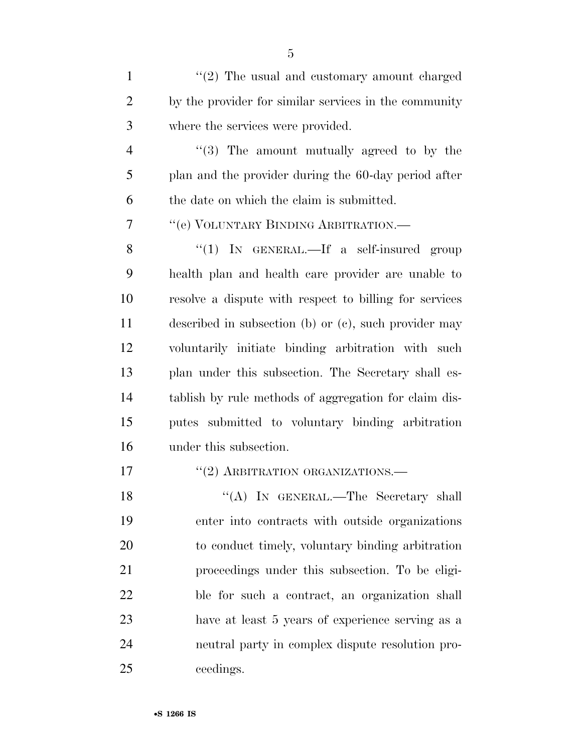| $\mathbf{1}$   | $\lq(2)$ The usual and customary amount charged        |
|----------------|--------------------------------------------------------|
| $\overline{2}$ | by the provider for similar services in the community  |
| 3              | where the services were provided.                      |
| $\overline{4}$ | $\lq(3)$ The amount mutually agreed to by the          |
| 5              | plan and the provider during the 60-day period after   |
| 6              | the date on which the claim is submitted.              |
| 7              | "(e) VOLUNTARY BINDING ARBITRATION.—                   |
| 8              | "(1) IN GENERAL.—If a self-insured group               |
| 9              | health plan and health care provider are unable to     |
| 10             | resolve a dispute with respect to billing for services |
| 11             | described in subsection (b) or (c), such provider may  |
| 12             | voluntarily initiate binding arbitration with such     |
| 13             | plan under this subsection. The Secretary shall es-    |
| 14             | tablish by rule methods of aggregation for claim dis-  |
| 15             | putes submitted to voluntary binding arbitration       |
| 16             | under this subsection.                                 |
| 17             | "(2) ARBITRATION ORGANIZATIONS.-                       |
| 18             | "(A) IN GENERAL.—The Secretary shall                   |
| 19             | enter into contracts with outside organizations        |
| 20             | to conduct timely, voluntary binding arbitration       |
| 21             | proceedings under this subsection. To be eligi-        |
| 22             | ble for such a contract, an organization shall         |
| 23             | have at least 5 years of experience serving as a       |
| 24             | neutral party in complex dispute resolution pro-       |
| 25             | ceedings.                                              |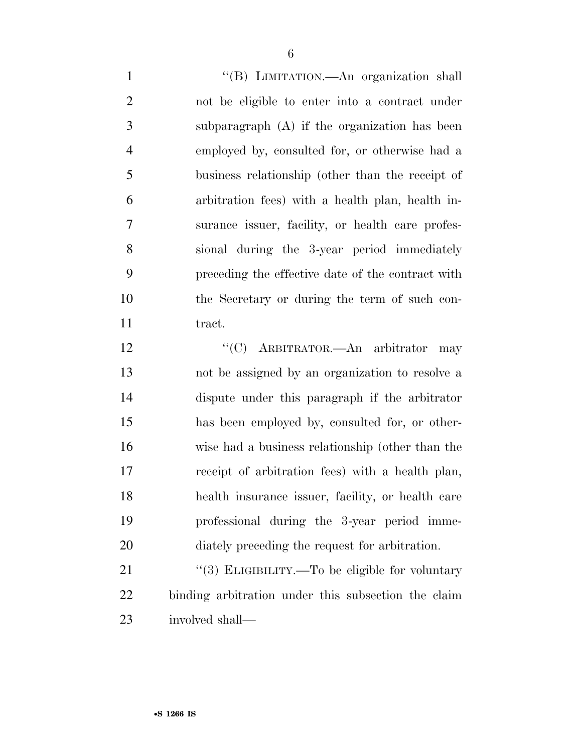''(B) LIMITATION.—An organization shall not be eligible to enter into a contract under subparagraph (A) if the organization has been employed by, consulted for, or otherwise had a business relationship (other than the receipt of arbitration fees) with a health plan, health in- surance issuer, facility, or health care profes- sional during the 3-year period immediately preceding the effective date of the contract with the Secretary or during the term of such con-11 tract.

12 "'(C) ARBITRATOR.—An arbitrator may not be assigned by an organization to resolve a dispute under this paragraph if the arbitrator has been employed by, consulted for, or other- wise had a business relationship (other than the receipt of arbitration fees) with a health plan, health insurance issuer, facility, or health care professional during the 3-year period imme-diately preceding the request for arbitration.

21 "(3) ELIGIBILITY.—To be eligible for voluntary binding arbitration under this subsection the claim involved shall—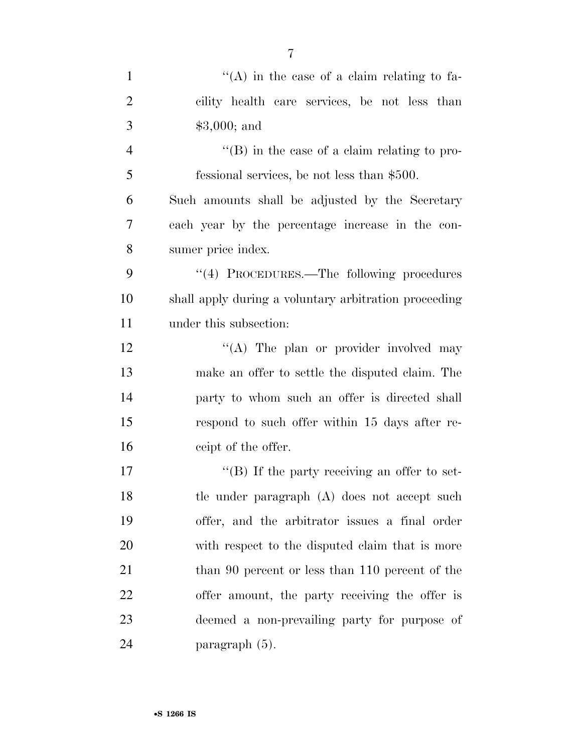| $\mathbf{1}$   | $\lq\lq$ in the case of a claim relating to fa-       |
|----------------|-------------------------------------------------------|
| $\overline{2}$ | cility health care services, be not less than         |
| 3              | $$3,000;$ and                                         |
| $\overline{4}$ | $\lq\lq (B)$ in the case of a claim relating to pro-  |
| 5              | fessional services, be not less than \$500.           |
| 6              | Such amounts shall be adjusted by the Secretary       |
| 7              | each year by the percentage increase in the con-      |
| 8              | sumer price index.                                    |
| 9              | "(4) PROCEDURES.—The following procedures             |
| 10             | shall apply during a voluntary arbitration proceeding |
| 11             | under this subsection:                                |
| 12             | "(A) The plan or provider involved may                |
| 13             | make an offer to settle the disputed claim. The       |
| 14             | party to whom such an offer is directed shall         |
| 15             | respond to such offer within 15 days after re-        |
| 16             | ceipt of the offer.                                   |
| 17             | "(B) If the party receiving an offer to set-          |
| 18             | tle under paragraph (A) does not accept such          |
| 19             | offer, and the arbitrator issues a final order        |
| 20             | with respect to the disputed claim that is more       |
| 21             | than 90 percent or less than 110 percent of the       |
| 22             | offer amount, the party receiving the offer is        |
| 23             | deemed a non-prevailing party for purpose of          |
| 24             | paragraph (5).                                        |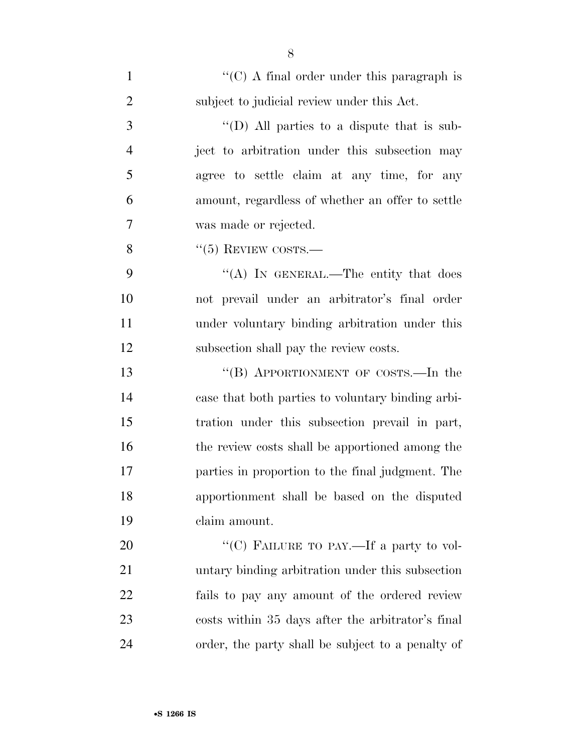| $\mathbf{1}$   | " $(C)$ A final order under this paragraph is     |
|----------------|---------------------------------------------------|
| $\overline{2}$ | subject to judicial review under this Act.        |
| 3              | "(D) All parties to a dispute that is sub-        |
| $\overline{4}$ | ject to arbitration under this subsection may     |
| 5              | agree to settle claim at any time, for any        |
| 6              | amount, regardless of whether an offer to settle  |
| 7              | was made or rejected.                             |
| 8              | $``(5)$ REVIEW COSTS.—                            |
| 9              | "(A) IN GENERAL.—The entity that does             |
| 10             | not prevail under an arbitrator's final order     |
| 11             | under voluntary binding arbitration under this    |
| 12             | subsection shall pay the review costs.            |
| 13             | "(B) APPORTIONMENT OF COSTS.—In the               |
| 14             | case that both parties to voluntary binding arbi- |
| 15             | tration under this subsection prevail in part,    |
| 16             | the review costs shall be apportioned among the   |
| 17             | parties in proportion to the final judgment. The  |
| 18             | apportionment shall be based on the disputed      |
| 19             | claim amount.                                     |
| 20             | "(C) FAILURE TO PAY.—If a party to vol-           |
| 21             | untary binding arbitration under this subsection  |
| 22             | fails to pay any amount of the ordered review     |
| 23             | costs within 35 days after the arbitrator's final |
| 24             | order, the party shall be subject to a penalty of |